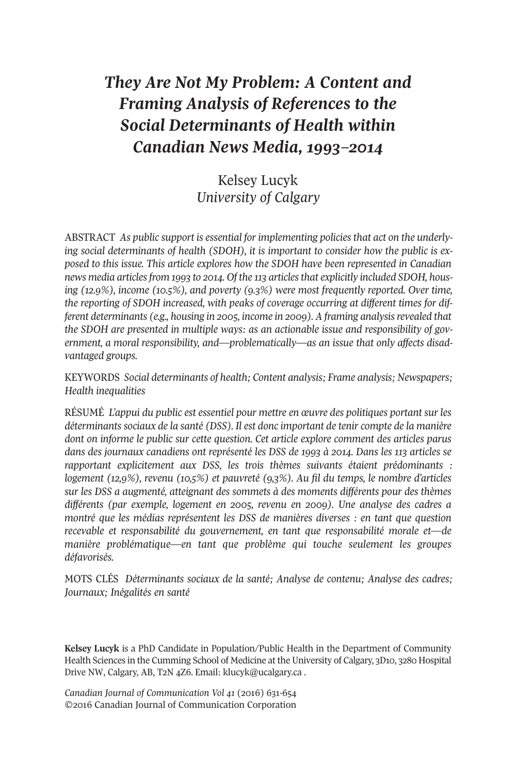# *They Are Not My Problem: A Content and Framing Analysis of References to the Social Determinants of Health within Canadian News Media, 1993–2014*

Kelsey Lucyk *University of Calgary*

ABSTRACT *As public support is essential for implementing policies that act on the underlying social determinants of health (SDOH), it is important to consider how the public is exposed to this issue. This article explores how the SDOH have been represented in Canadian news media articlesfrom 1993 to 2014. Of the 113 articlesthat explicitly included SDOH, housing (12.9%), income (10.5%), and poverty (9.3%) were most frequently reported. Over time, the reporting of SDOH increased, with peaks of coverage occurring at different times for different determinants (e.g., housing in 2005, income in 2009). A framing analysisrevealed that the SDOH are presented in multiple ways: as an actionable issue and responsibility of government, a moral responsibility, and—problematically—as an issue that only affects disadvantaged groups.*

KEYWORDS *Social determinants of health; Content analysis; Frame analysis; Newspapers; Health inequalities*

RÉSUMÉ *L'appui du public est essentiel pour mettre en œuvre des politiques portant sur les déterminants sociaux de la santé (DSS). Il est donc important de tenir compte de la manière dont on informe le public sur cette question. Cet article explore comment des articles parus dans des journaux canadiens ont représenté les DSS de 1993 à 2014. Dans les 113 articles se rapportant explicitement aux DSS, les trois thèmes suivants étaient prédominants : logement (12,9%), revenu (10,5%) et pauvreté (9,3%). Au fil du temps, le nombre d'articles sur les DSS a augmenté, atteignant des sommets à des moments différents pour des thèmes différents (par exemple, logement en 2005, revenu en 2009). Une analyse des cadres a montré que les médias représentent les DSS de manières diverses : en tant que question recevable et responsabilité du gouvernement, en tant que responsabilité morale et—de manière problématique—en tant que problème qui touche seulement les groupes défavorisés.*

MOTS CLÉS *Déterminants sociaux de la santé; Analyse de contenu; Analyse des cadres; Journaux; Inégalités en santé*

**Kelsey Lucyk** is a PhD Candidate in Population/Public Health in the Department of Community Health Sciences in the Cumming School of Medicine at the University of Calgary, 3D10, 3280 Hospital Drive NW, Calgary, AB, T2N 4Z6. Email: [klucyk@ucalgary.ca](mailto:klucyk@ucalgary.ca) .

*Canadian Journal of [Communication](http://www.cjc-online.ca) Vol 41* (2016) 631-654 ©2016 Canadian Journal of Communication Corporation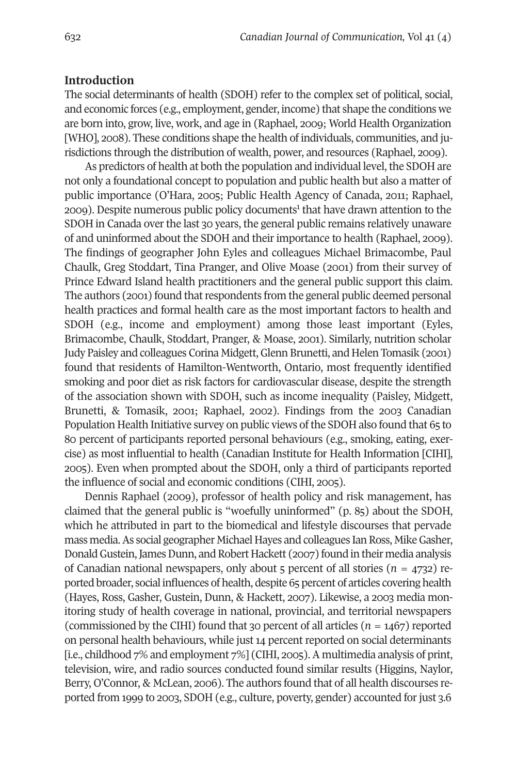## **Introduction**

The social determinants of health (SDOH) refer to the complex set of political, social, and economic forces (e.g., employment, gender, income) that shape the conditions we are born into, grow, live, work, and age in (Raphael, 2009; World Health Organization [WHO], 2008). These conditions shape the health of individuals, communities, and jurisdictions through the distribution of wealth, power, and resources (Raphael, 2009).

As predictors of health at both the population and individual level, the SDOH are not only a foundational concept to population and public health but also a matter of public importance (O'Hara, 2005; Public Health Agency of Canada, 2011; Raphael, 2009). Despite numerous public policy documents<sup>1</sup> that have drawn attention to the SDOH in Canada over the last 30 years, the general public remains relatively unaware of and uninformed about the SDOH and their importance to health (Raphael, 2009). The findings of geographer John Eyles and colleagues Michael Brimacombe, Paul Chaulk, Greg Stoddart, Tina Pranger, and Olive Moase (2001) from their survey of Prince Edward Island health practitioners and the general public support this claim. The authors (2001) found that respondents from the general public deemed personal health practices and formal health care as the most important factors to health and SDOH (e.g., income and employment) among those least important (Eyles, Brimacombe, Chaulk, Stoddart, Pranger, & Moase, 2001). Similarly, nutrition scholar Judy Paisley and colleagues Corina Midgett,Glenn Brunetti, and Helen Tomasik (2001) found that residents of Hamilton-Wentworth, Ontario, most frequently identified smoking and poor diet as risk factors for cardiovascular disease, despite the strength of the association shown with SDOH, such as income inequality (Paisley, Midgett, Brunetti, & Tomasik, 2001; Raphael, 2002). Findings from the 2003 Canadian Population Health Initiative survey on public views ofthe SDOH also found that 65 to 80 percent of participants reported personal behaviours (e.g., smoking, eating, exercise) as most influential to health (Canadian Institute for Health Information [CIHI], 2005). Even when prompted about the SDOH, only a third of participants reported the influence of social and economic conditions (CIHI, 2005).

Dennis Raphael (2009), professor of health policy and risk management, has claimed that the general public is "woefully uninformed" (p. 85) about the SDOH, which he attributed in part to the biomedical and lifestyle discourses that pervade mass media.As social geographer Michael Hayes and colleagues IanRoss, MikeGasher, Donald Gustein, James Dunn, and Robert Hackett (2007) found in their media analysis of Canadian national newspapers, only about 5 percent of all stories  $(n = 4732)$  reported broader, social influences of health, despite 65 percent of articles covering health (Hayes, Ross, Gasher, Gustein, Dunn, & Hackett, 2007). Likewise, a 2003 media monitoring study of health coverage in national, provincial, and territorial newspapers (commissioned by the CIHI) found that 30 percent of all articles (*n* = 1467) reported on personal health behaviours, while just 14 percent reported on social determinants [i.e., childhood 7% and employment 7%] (CIHI, 2005).A multimedia analysis of print, television, wire, and radio sources conducted found similar results (Higgins, Naylor, Berry, O'Connor, & McLean, 2006). The authors found that of all health discourses reported from 1999 to 2003, SDOH (e.g., culture, poverty, gender) accounted for just 3.6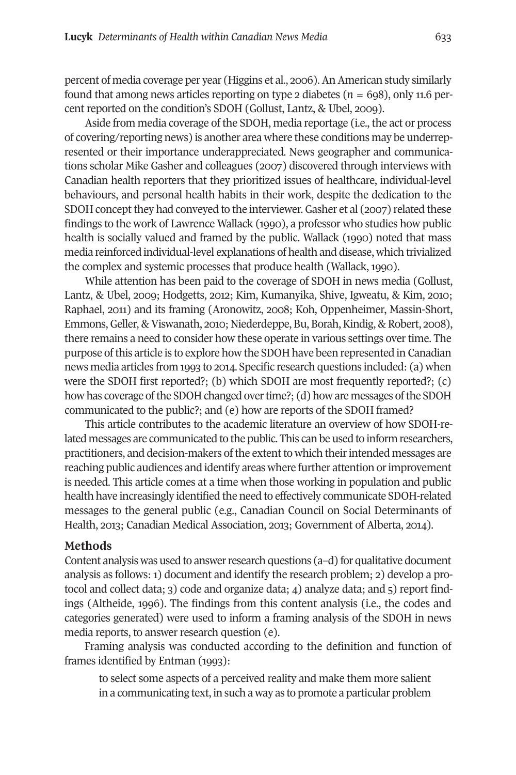percent of media coverage per year (Higgins et al., 2006). An American study similarly found that among news articles reporting on type 2 diabetes (*n* = 698), only 11.6 percent reported on the condition's SDOH (Gollust, Lantz, & Ubel, 2009).

Aside from media coverage of the SDOH, media reportage (i.e., the act or process of covering/reporting news) is another area where these conditions may be underrepresented or their importance underappreciated. News geographer and communications scholar Mike Gasher and colleagues (2007) discovered through interviews with Canadian health reporters that they prioritized issues of healthcare, individual-level behaviours, and personal health habits in their work, despite the dedication to the SDOH concept they had conveyed to the interviewer. Gasher et al (2007) related these findings to the work of Lawrence Wallack (1990), a professor who studies how public health is socially valued and framed by the public. Wallack (1990) noted that mass media reinforced individual-level explanations of health and disease, which trivialized the complex and systemic processes that produce health (Wallack, 1990).

While attention has been paid to the coverage of SDOH in news media (Gollust, Lantz, & Ubel, 2009; Hodgetts, 2012; Kim, Kumanyika, Shive, Igweatu, & Kim, 2010; Raphael, 2011) and its framing (Aronowitz, 2008; Koh, Oppenheimer, Massin-Short, Emmons,Geller, & Viswanath, 2010; Niederdeppe, Bu, Borah,Kindig, & Robert, 2008), there remains a need to consider how these operate in various settings overtime. The purpose ofthis article is to explore how the SDOH have been represented in Canadian news media articles from 1993 to 2014. Specific research questions included: (a) when were the SDOH first reported?; (b) which SDOH are most frequently reported?; (c) how has coverage of the SDOH changed over time?; (d) how are messages of the SDOH communicated to the public?; and (e) how are reports of the SDOH framed?

This article contributes to the academic literature an overview of how SDOH-related messages are communicated to the public. This can be used to inform researchers, practitioners, and decision-makers of the extent to which their intended messages are reaching public audiences and identify areas where further attention orimprovement is needed. This article comes at a time when those working in population and public health have increasingly identified the need to effectively communicate SDOH-related messages to the general public (e.g., Canadian Council on Social Determinants of Health, 2013; Canadian Medical Association, 2013; Government of Alberta, 2014).

#### **Methods**

Content analysis was used to answerresearch questions (a–d) for qualitative document analysis as follows: 1) document and identify the research problem; 2) develop a protocol and collect data; 3) code and organize data; 4) analyze data; and 5) report findings (Altheide, 1996). The findings from this content analysis (i.e., the codes and categories generated) were used to inform a framing analysis of the SDOH in news media reports, to answer research question (e).

Framing analysis was conducted according to the definition and function of frames identified by Entman (1993):

to select some aspects of a perceived reality and make them more salient in a communicating text, in such a way as to promote a particular problem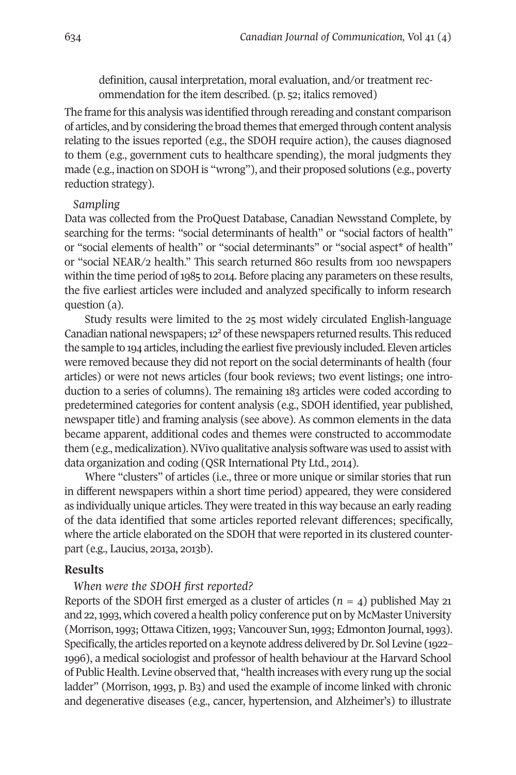definition, causal interpretation, moral evaluation, and/or treatment recommendation for the item described. (p. 52; italics removed)

The frame forthis analysis was identified through rereading and constant comparison of articles, and by considering the broad themes that emerged through content analysis relating to the issues reported (e.g., the SDOH require action), the causes diagnosed to them (e.g., government cuts to healthcare spending), the moral judgments they made (e.g., inaction on SDOH is "wrong"), and their proposed solutions (e.g., poverty reduction strategy).

#### *Sampling*

Data was collected from the ProQuest Database, Canadian Newsstand Complete, by searching for the terms: "social determinants of health" or "social factors of health" or "social elements of health" or "social determinants" or "social aspect\* of health" or "social NEAR/2 health." This search returned 860 results from 100 newspapers within the time period of  $1985$  to 2014. Before placing any parameters on these results, the five earliest articles were included and analyzed specifically to inform research question (a).

Study results were limited to the 25 most widely circulated English-language Canadian national newspapers;  $12<sup>2</sup>$  of these newspapers returned results. This reduced the sample to 194 articles, including the earliest five previously included. Eleven articles were removed because they did not report on the social determinants of health (four articles) or were not news articles (four book reviews; two event listings; one introduction to a series of columns). The remaining 183 articles were coded according to predetermined categories for content analysis (e.g., SDOH identified, year published, newspaper title) and framing analysis (see above). As common elements in the data became apparent, additional codes and themes were constructed to accommodate them (e.g., medicalization). NVivo qualitative analysis software was used to assist with data organization and coding (QSR International Pty Ltd., 2014).

Where "clusters" of articles (i.e., three or more unique or similar stories that run in different newspapers within a short time period) appeared, they were considered as individually unique articles. They were treated in this way because an early reading of the data identified that some articles reported relevant differences; specifically, where the article elaborated on the SDOH that were reported in its clustered counterpart (e.g., Laucius, 2013a, 2013b).

## **Results**

#### *When were the SDOH first reported?*

Reports of the SDOH first emerged as a cluster of articles  $(n = 4)$  published May 21 and 22, 1993, which covered a health policy conference put on by McMaster University (Morrison, 1993; Ottawa Citizen, 1993; Vancouver Sun, 1993; Edmonton Journal, 1993). Specifically, the articles reported on a keynote address delivered by Dr. Sol Levine (1922– 1996), a medical sociologist and professor of health behaviour at the Harvard School of Public Health. Levine observed that, "health increases with every rung up the social ladder" (Morrison, 1993, p. B3) and used the example of income linked with chronic and degenerative diseases (e.g., cancer, hypertension, and Alzheimer's) to illustrate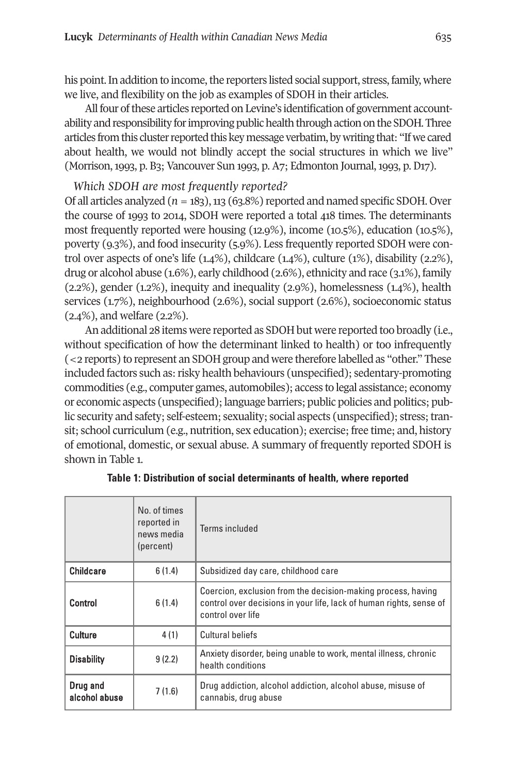his point. In addition to income, the reporters listed social support, stress, family, where we live, and flexibility on the job as examples of SDOH in their articles.

All four of these articles reported on Levine's identification of government accountability and responsibility for improving public health through action on the SDOH. Three articles from this cluster reported this key message verbatim, by writing that: "If we cared about health, we would not blindly accept the social structures in which we live" (Morrison,1993, p. B3; Vancouver Sun 1993, p. A7; Edmonton Journal,1993, p. D17).

#### *Which SDOH are most frequently reported?*

Of all articles analyzed  $(n = 183)$ , 113 (63.8%) reported and named specific SDOH. Over the course of 1993 to 2014, SDOH were reported a total 418 times. The determinants most frequently reported were housing (12.9%), income (10.5%), education (10.5%), poverty (9.3%), and food insecurity (5.9%). Less frequently reported SDOH were control over aspects of one's life (1.4%), childcare (1.4%), culture (1%), disability (2.2%), drug or alcohol abuse (1.6%), early childhood (2.6%), ethnicity and race (3.1%), family (2.2%), gender (1.2%), inequity and inequality (2.9%), homelessness (1.4%), health services (1.7%), neighbourhood (2.6%), social support (2.6%), socioeconomic status (2.4%), and welfare (2.2%).

An additional 28 items were reported as SDOH but were reported too broadly (i.e., without specification of how the determinant linked to health) or too infrequently (<2 reports) to represent an SDOH group and were therefore labelled as "other." These included factors such as: risky health behaviours (unspecified); sedentary-promoting commodities (e.g., computer games, automobiles); access to legal assistance; economy or economic aspects (unspecified);language barriers; public policies and politics; public security and safety; self-esteem; sexuality; social aspects (unspecified); stress;transit; school curriculum (e.g., nutrition, sex education); exercise; free time; and, history of emotional, domestic, or sexual abuse. A summary of frequently reported SDOH is shown in Table 1.

|                           | No. of times<br>reported in<br>news media<br>(percent) | Terms included                                                                                                                                           |
|---------------------------|--------------------------------------------------------|----------------------------------------------------------------------------------------------------------------------------------------------------------|
| Childcare                 | 6(1.4)                                                 | Subsidized day care, childhood care                                                                                                                      |
| Control                   | 6(1.4)                                                 | Coercion, exclusion from the decision-making process, having<br>control over decisions in your life, lack of human rights, sense of<br>control over life |
| Culture                   | 4(1)                                                   | Cultural beliefs                                                                                                                                         |
| <b>Disability</b>         | 9(2.2)                                                 | Anxiety disorder, being unable to work, mental illness, chronic<br>health conditions                                                                     |
| Drug and<br>alcohol abuse | 7(1.6)                                                 | Drug addiction, alcohol addiction, alcohol abuse, misuse of<br>cannabis, drug abuse                                                                      |

|  | Table 1: Distribution of social determinants of health, where reported |  |  |
|--|------------------------------------------------------------------------|--|--|
|  |                                                                        |  |  |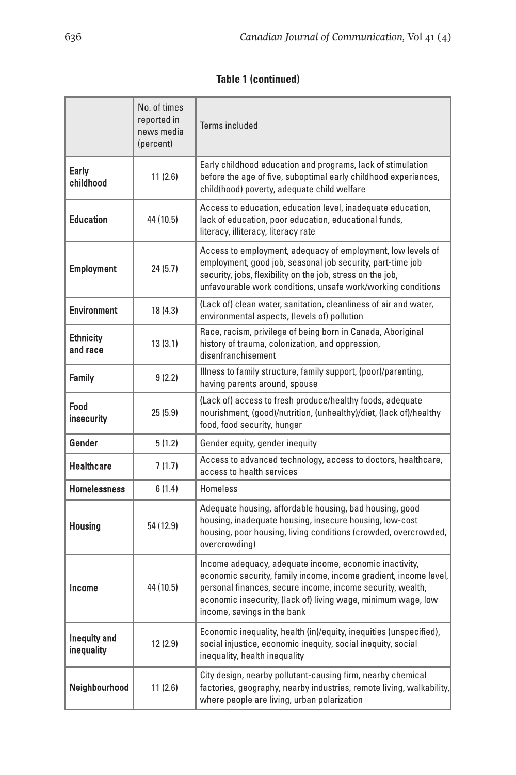## **Table 1 (continued)**

|                              | No. of times<br>reported in<br>news media<br>(percent) | <b>Terms included</b>                                                                                                                                                                                                                                                                    |
|------------------------------|--------------------------------------------------------|------------------------------------------------------------------------------------------------------------------------------------------------------------------------------------------------------------------------------------------------------------------------------------------|
| Early<br>childhood           | 11(2.6)                                                | Early childhood education and programs, lack of stimulation<br>before the age of five, suboptimal early childhood experiences,<br>child(hood) poverty, adequate child welfare                                                                                                            |
| <b>Education</b>             | 44 (10.5)                                              | Access to education, education level, inadequate education,<br>lack of education, poor education, educational funds,<br>literacy, illiteracy, literacy rate                                                                                                                              |
| <b>Employment</b>            | 24 (5.7)                                               | Access to employment, adequacy of employment, low levels of<br>employment, good job, seasonal job security, part-time job<br>security, jobs, flexibility on the job, stress on the job,<br>unfavourable work conditions, unsafe work/working conditions                                  |
| <b>Environment</b>           | 18 (4.3)                                               | (Lack of) clean water, sanitation, cleanliness of air and water,<br>environmental aspects, (levels of) pollution                                                                                                                                                                         |
| <b>Ethnicity</b><br>and race | 13(3.1)                                                | Race, racism, privilege of being born in Canada, Aboriginal<br>history of trauma, colonization, and oppression,<br>disenfranchisement                                                                                                                                                    |
| Family                       | 9(2.2)                                                 | Illness to family structure, family support, (poor)/parenting,<br>having parents around, spouse                                                                                                                                                                                          |
| Food<br>insecurity           | 25 (5.9)                                               | (Lack of) access to fresh produce/healthy foods, adequate<br>nourishment, (good)/nutrition, (unhealthy)/diet, (lack of)/healthy<br>food, food security, hunger                                                                                                                           |
| Gender                       | 5(1.2)                                                 | Gender equity, gender inequity                                                                                                                                                                                                                                                           |
| Healthcare                   | 7 (1.7)                                                | Access to advanced technology, access to doctors, healthcare,<br>access to health services                                                                                                                                                                                               |
| <b>Homelessness</b>          | 6(1.4)                                                 | Homeless                                                                                                                                                                                                                                                                                 |
| Housing                      | 54 (12.9)                                              | Adequate housing, affordable housing, bad housing, good<br>housing, inadequate housing, insecure housing, low-cost<br>housing, poor housing, living conditions (crowded, overcrowded,<br>overcrowding)                                                                                   |
| Income                       | 44 (10.5)                                              | Income adequacy, adequate income, economic inactivity,<br>economic security, family income, income gradient, income level,<br>personal finances, secure income, income security, wealth,<br>economic insecurity, (lack of) living wage, minimum wage, low<br>income, savings in the bank |
| Inequity and<br>inequality   | 12(2.9)                                                | Economic inequality, health (in)/equity, inequities (unspecified),<br>social injustice, economic inequity, social inequity, social<br>inequality, health inequality                                                                                                                      |
| Neighbourhood                | 11(2.6)                                                | City design, nearby pollutant-causing firm, nearby chemical<br>factories, geography, nearby industries, remote living, walkability,<br>where people are living, urban polarization                                                                                                       |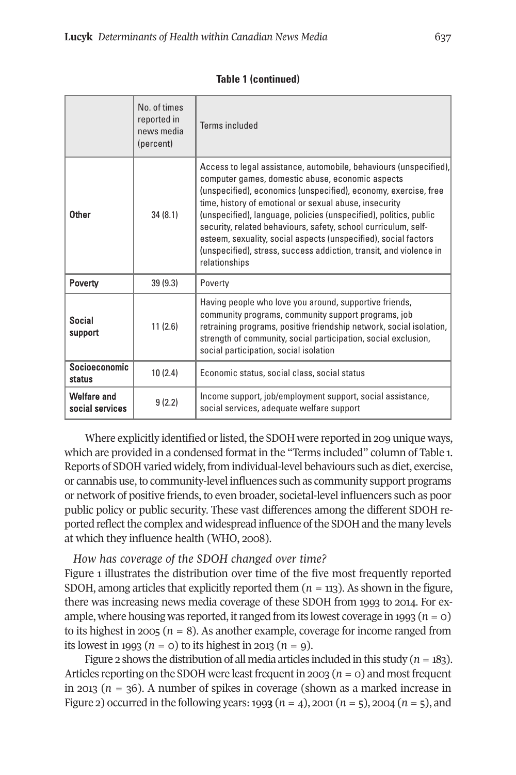|                                       | No. of times<br>reported in<br>news media<br>(percent) | Terms included                                                                                                                                                                                                                                                                                                                                                                                                                                                                                                                                      |  |
|---------------------------------------|--------------------------------------------------------|-----------------------------------------------------------------------------------------------------------------------------------------------------------------------------------------------------------------------------------------------------------------------------------------------------------------------------------------------------------------------------------------------------------------------------------------------------------------------------------------------------------------------------------------------------|--|
| Other                                 | 34(8.1)                                                | Access to legal assistance, automobile, behaviours (unspecified),<br>computer games, domestic abuse, economic aspects<br>(unspecified), economics (unspecified), economy, exercise, free<br>time, history of emotional or sexual abuse, insecurity<br>(unspecified), language, policies (unspecified), politics, public<br>security, related behaviours, safety, school curriculum, self-<br>esteem, sexuality, social aspects (unspecified), social factors<br>(unspecified), stress, success addiction, transit, and violence in<br>relationships |  |
| Poverty                               | 39(9.3)                                                | Poverty                                                                                                                                                                                                                                                                                                                                                                                                                                                                                                                                             |  |
| Social<br>support                     | 11(2.6)                                                | Having people who love you around, supportive friends,<br>community programs, community support programs, job<br>retraining programs, positive friendship network, social isolation,<br>strength of community, social participation, social exclusion,<br>social participation, social isolation                                                                                                                                                                                                                                                    |  |
| <b>Socioeconomic</b><br>status        | 10(2.4)                                                | Economic status, social class, social status                                                                                                                                                                                                                                                                                                                                                                                                                                                                                                        |  |
| <b>Welfare and</b><br>social services | 9(2.2)                                                 | Income support, job/employment support, social assistance,<br>social services, adequate welfare support                                                                                                                                                                                                                                                                                                                                                                                                                                             |  |

#### **Table 1 (continued)**

Where explicitly identified or listed, the SDOH were reported in 209 unique ways, which are provided in a condensed format in the "Terms included" column of Table 1. Reports of SDOH varied widely, from individual-level behaviours such as diet, exercise, or cannabis use, to community-level influences such as community support programs or network of positive friends, to even broader, societal-level influencers such as poor public policy or public security. These vast differences among the different SDOH reported reflect the complex and widespread influence of the SDOH and the many levels at which they influence health (WHO, 2008).

## *How has coverage of the SDOH changed over time?*

Figure 1 illustrates the distribution over time of the five most frequently reported SDOH, among articles that explicitly reported them  $(n = 113)$ . As shown in the figure, there was increasing news media coverage of these SDOH from 1993 to 2014. For example, where housing was reported, it ranged from its lowest coverage in 1993 ( $n = o$ ) to its highest in 2005 ( $n = 8$ ). As another example, coverage for income ranged from its lowest in 1993  $(n = 0)$  to its highest in 2013  $(n = 9)$ .

Figure 2 shows the distribution of all media articles included in this study (*n*=183). Articles reporting on the SDOH were least frequent in 2003 ( $n = 0$ ) and most frequent in 2013 ( $n = 36$ ). A number of spikes in coverage (shown as a marked increase in Figure 2) occurred in the following years: 1993  $(n = 4)$ , 2001  $(n = 5)$ , 2004  $(n = 5)$ , and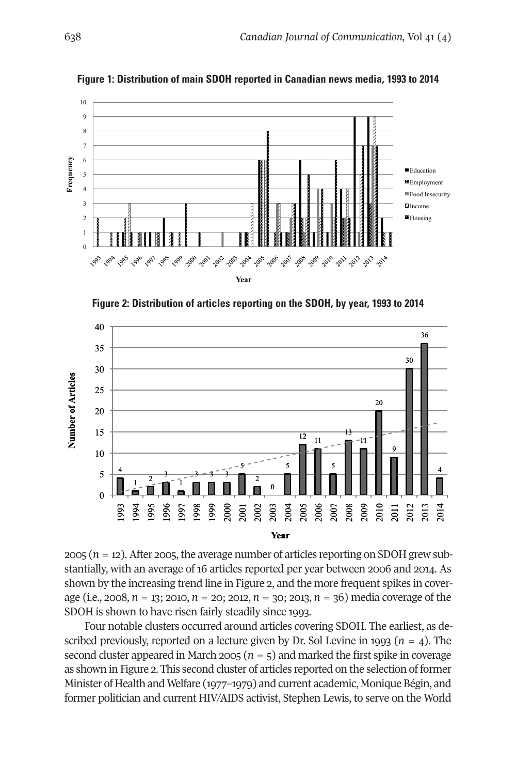

**Figure 1: Distribution of main SDOH reported in Canadian news media, 1993 to 2014** 

**Figure 2: Distribution of articles reporting on the SDOH, by year, 1993 to 2014**



 $2005 (n = 12)$ . After 2005, the average number of articles reporting on SDOH grew substantially, with an average of 16 articles reported per year between 2006 and 2014. As shown by the increasing trend line in Figure 2, and the more frequent spikes in coverage (i.e., 2008, *n* = 13; 2010, *n* = 20; 2012, *n* = 30; 2013, *n* = 36) media coverage of the SDOH is shown to have risen fairly steadily since 1993.

Four notable clusters occurred around articles covering SDOH. The earliest, as described previously, reported on a lecture given by Dr. Sol Levine in 1993 ( $n = 4$ ). The second cluster appeared in March 2005 (*n* = 5) and marked the first spike in coverage as shown in Figure 2. This second cluster of articles reported on the selection of former Minister of Health and Welfare (1977–1979) and current academic, Monique Bégin, and former politician and current HIV/AIDS activist, Stephen Lewis, to serve on the World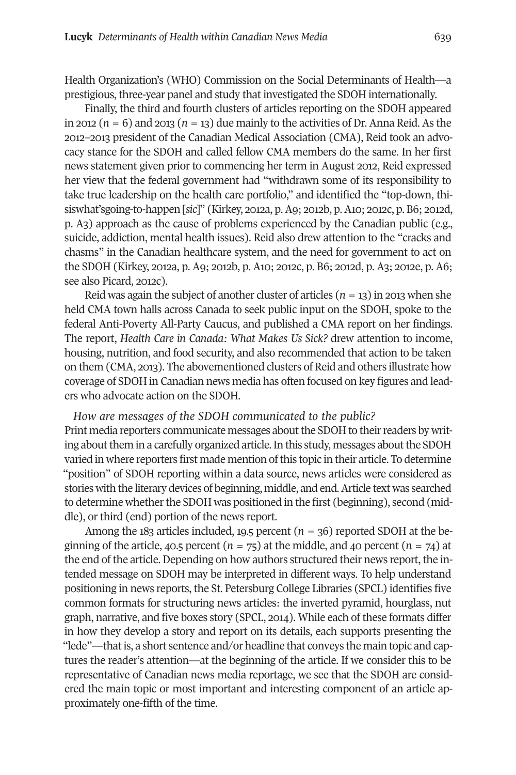Health Organization's (WHO) Commission on the Social Determinants of Health—a prestigious, three-year panel and study that investigated the SDOH internationally.

Finally, the third and fourth clusters of articles reporting on the SDOH appeared in 2012 (*n* = 6) and 2013 (*n* = 13) due mainly to the activities of Dr. Anna Reid. As the 2012–2013 president of the Canadian Medical Association (CMA), Reid took an advocacy stance for the SDOH and called fellow CMA members do the same. In her first news statement given prior to commencing her term in August 2012, Reid expressed her view that the federal government had "withdrawn some of its responsibility to take true leadership on the health care portfolio," and identified the "top-down, thisiswhat'sgoing-to-happen [*sic*]" (Kirkey, 2012a, p.A9; 2012b, p.A10; 2012c, p. B6; 2012d, p. A3) approach as the cause of problems experienced by the Canadian public (e.g., suicide, addiction, mental health issues). Reid also drew attention to the "cracks and chasms" in the Canadian healthcare system, and the need for government to act on the SDOH (Kirkey, 2012a, p. A9; 2012b, p. A10; 2012c, p. B6; 2012d, p. A3; 2012e, p. A6; see also Picard, 2012c).

Reid was again the subject of another cluster of articles  $(n = 13)$  in 2013 when she held CMA town halls across Canada to seek public input on the SDOH, spoke to the federal Anti-Poverty All-Party Caucus, and published a CMA report on her findings. The report, *Health Care in Canada: What Makes Us Sick?* drew attention to income, housing, nutrition, and food security, and also recommended that action to be taken on them (CMA, 2013). The abovementioned clusters of Reid and others illustrate how coverage of SDOH in Canadian news media has often focused on key figures and leaders who advocate action on the SDOH.

*How are messages of the SDOH communicated to the public?* Print media reporters communicate messages about the SDOH to their readers by writing about them in a carefully organized article. In this study, messages about the SDOH varied in where reporters first made mention ofthis topic in their article. To determine "position" of SDOH reporting within a data source, news articles were considered as stories with the literary devices of beginning, middle, and end.Article text was searched to determine whether the SDOH was positioned in the first (beginning), second (middle), or third (end) portion of the news report.

Among the 183 articles included, 19.5 percent  $(n = 36)$  reported SDOH at the beginning of the article, 40.5 percent  $(n = 75)$  at the middle, and 40 percent  $(n = 74)$  at the end of the article. Depending on how authors structured their news report, the intended message on SDOH may be interpreted in different ways. To help understand positioning in news reports, the St. Petersburg College Libraries (SPCL) identifies five common formats for structuring news articles: the inverted pyramid, hourglass, nut graph, narrative, and five boxes story (SPCL, 2014). While each of these formats differ in how they develop a story and report on its details, each supports presenting the "lede"—that is, a short sentence and/or headline that conveys the main topic and captures the reader's attention—at the beginning of the article. If we consider this to be representative of Canadian news media reportage, we see that the SDOH are considered the main topic or most important and interesting component of an article approximately one-fifth of the time.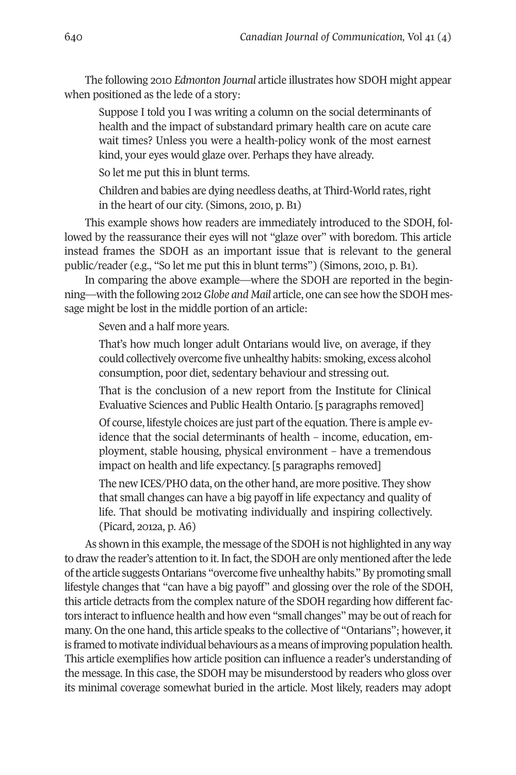The following 2010 *Edmonton Journal* article illustrates how SDOH might appear when positioned as the lede of a story:

Suppose I told you I was writing a column on the social determinants of health and the impact of substandard primary health care on acute care wait times? Unless you were a health-policy wonk of the most earnest kind, your eyes would glaze over. Perhaps they have already.

So let me put this in blunt terms.

Children and babies are dying needless deaths, at Third-World rates,right in the heart of our city. (Simons, 2010, p. B1)

This example shows how readers are immediately introduced to the SDOH, followed by the reassurance their eyes will not "glaze over" with boredom. This article instead frames the SDOH as an important issue that is relevant to the general public/reader (e.g., "So let me put this in blunt terms") (Simons, 2010, p. B1).

In comparing the above example—where the SDOH are reported in the beginning—with the following 2012 *Globe and Mail* article, one can see how the SDOH message might be lost in the middle portion of an article:

Seven and a half more years.

That's how much longer adult Ontarians would live, on average, if they could collectively overcome five unhealthy habits: smoking, excess alcohol consumption, poor diet, sedentary behaviour and stressing out.

That is the conclusion of a new report from the Institute for Clinical Evaluative Sciences and Public Health Ontario. [5 paragraphs removed]

Of course, lifestyle choices are just part of the equation. There is ample evidence that the social determinants of health – income, education, employment, stable housing, physical environment – have a tremendous impact on health and life expectancy. [5 paragraphs removed]

The new ICES/PHO data, on the other hand, are more positive. They show that small changes can have a big payoff in life expectancy and quality of life. That should be motivating individually and inspiring collectively. (Picard, 2012a, p. A6)

As shown in this example, the message of the SDOH is not highlighted in any way to draw the reader's attention to it. In fact, the SDOH are only mentioned after the lede ofthe article suggests Ontarians "overcome five unhealthy habits."By promoting small lifestyle changes that "can have a big payoff" and glossing over the role of the SDOH, this article detracts from the complex nature of the SDOH regarding how different factors interact to influence health and how even "small changes" may be out of reach for many. On the one hand, this article speaks to the collective of "Ontarians"; however, it is framed to motivate individual behaviours as a means ofimproving population health. This article exemplifies how article position can influence a reader's understanding of the message. In this case, the SDOH may be misunderstood by readers who gloss over its minimal coverage somewhat buried in the article. Most likely, readers may adopt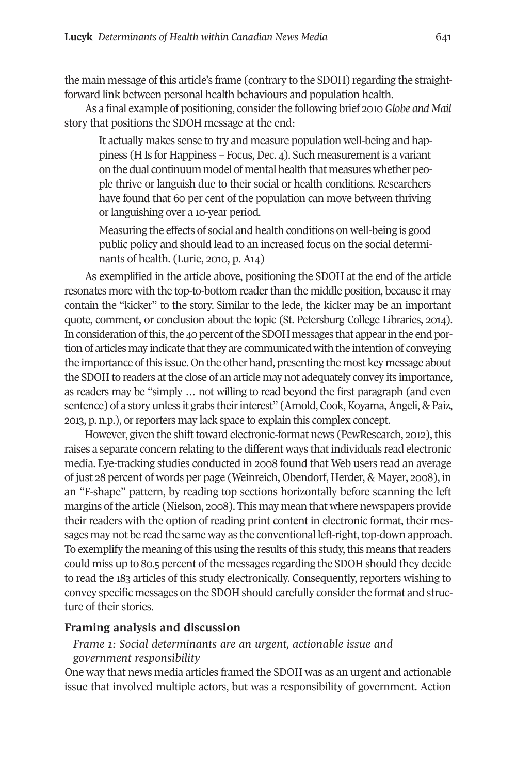the main message of this article's frame (contrary to the SDOH) regarding the straightforward link between personal health behaviours and population health.

As a final example of positioning, considerthe following brief 2010*Globe and Mail* story that positions the SDOH message at the end:

It actually makes sense to try and measure population well-being and happiness (H Is for Happiness – Focus, Dec. 4). Such measurement is a variant on the dual continuum model of mental health that measures whether people thrive or languish due to their social or health conditions. Researchers have found that 60 per cent of the population can move between thriving orlanguishing over a 10-year period.

Measuring the effects of social and health conditions on well-being is good public policy and should lead to an increased focus on the social determinants of health. (Lurie, 2010, p. A14)

As exemplified in the article above, positioning the SDOH at the end of the article resonates more with the top-to-bottom readerthan the middle position, because it may contain the "kicker" to the story. Similar to the lede, the kicker may be an important quote, comment, or conclusion about the topic (St. Petersburg College Libraries, 2014). In consideration of this, the 40 percent of the SDOH messages that appear in the end portion of articles may indicate that they are communicated with the intention of conveying the importance ofthis issue. On the other hand, presenting the most key message about the SDOH to readers atthe close of an article may not adequately convey its importance, as readers may be "simply … not willing to read beyond the first paragraph (and even sentence) of a story unless it grabs their interest" (Arnold, Cook, Koyama, Angeli, & Paiz, 2013, p. n.p.), or reporters may lack space to explain this complex concept.

However, given the shift toward electronic-format news (PewResearch, 2012), this raises a separate concern relating to the different ways that individuals read electronic media. Eye-tracking studies conducted in 2008 found that Web users read an average of just 28 percent of words per page (Weinreich, Obendorf, Herder, & Mayer, 2008), in an "F-shape" pattern, by reading top sections horizontally before scanning the left margins of the article (Nielson, 2008). This may mean that where newspapers provide their readers with the option of reading print content in electronic format, their messages may not be read the same way as the conventional left-right, top-down approach. To exemplify the meaning of this using the results of this study, this means that readers could miss up to 80.5 percent of the messages regarding the SDOH should they decide to read the 183 articles of this study electronically. Consequently, reporters wishing to convey specific messages on the SDOH should carefully considerthe format and structure of their stories.

## **Framing analysis and discussion**

*Frame 1: Social determinants are an urgent, actionable issue and government responsibility*

One way that news media articles framed the SDOH was as an urgent and actionable issue that involved multiple actors, but was a responsibility of government. Action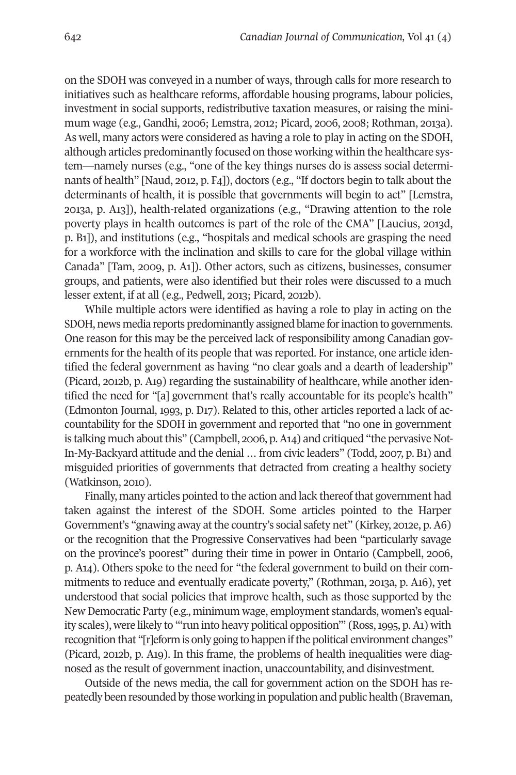on the SDOH was conveyed in a number of ways, through calls for more research to initiatives such as healthcare reforms, affordable housing programs, labour policies, investment in social supports, redistributive taxation measures, or raising the minimum wage (e.g., Gandhi, 2006; Lemstra, 2012; Picard, 2006, 2008; Rothman, 2013a). As well, many actors were considered as having a role to play in acting on the SDOH, although articles predominantly focused on those working within the healthcare system—namely nurses (e.g., "one of the key things nurses do is assess social determinants of health" [Naud, 2012, p. F4]), doctors (e.g., "If doctors begin to talk about the determinants of health, it is possible that governments will begin to act" [Lemstra, 2013a, p. A13]), health-related organizations (e.g., "Drawing attention to the role poverty plays in health outcomes is part of the role of the CMA" [Laucius, 2013d, p. B1]), and institutions (e.g., "hospitals and medical schools are grasping the need for a workforce with the inclination and skills to care for the global village within Canada" [Tam, 2009, p. A1]). Other actors, such as citizens, businesses, consumer groups, and patients, were also identified but their roles were discussed to a much lesser extent, if at all (e.g., Pedwell, 2013; Picard, 2012b).

While multiple actors were identified as having a role to play in acting on the SDOH, news media reports predominantly assigned blame forinaction to governments. One reason for this may be the perceived lack of responsibility among Canadian governments for the health of its people that was reported. For instance, one article identified the federal government as having "no clear goals and a dearth of leadership" (Picard, 2012b, p. A19) regarding the sustainability of healthcare, while another identified the need for "[a] government that's really accountable for its people's health" (Edmonton Journal, 1993, p. D17). Related to this, other articles reported a lack of accountability for the SDOH in government and reported that "no one in government is talking much about this" (Campbell, 2006, p. A14) and critiqued "the pervasive Not-In-My-Backyard attitude and the denial … from civic leaders" (Todd, 2007, p. B1) and misguided priorities of governments that detracted from creating a healthy society (Watkinson, 2010).

Finally, many articles pointed to the action and lack thereof that government had taken against the interest of the SDOH. Some articles pointed to the Harper Government's "gnawing away at the country's social safety net" (Kirkey, 2012e, p. A6) or the recognition that the Progressive Conservatives had been "particularly savage on the province's poorest" during their time in power in Ontario (Campbell, 2006, p. A14). Others spoke to the need for "the federal government to build on their commitments to reduce and eventually eradicate poverty," (Rothman, 2013a, p. A16), yet understood that social policies that improve health, such as those supported by the New Democratic Party (e.g., minimum wage, employment standards, women's equality scales), were likely to "'run into heavy political opposition'" (Ross,1995, p.A1) with recognition that "[r]eform is only going to happen if the political environment changes" (Picard, 2012b, p. A19). In this frame, the problems of health inequalities were diagnosed as the result of government inaction, unaccountability, and disinvestment.

Outside of the news media, the call for government action on the SDOH has repeatedly been resounded by those working in population and public health (Braveman,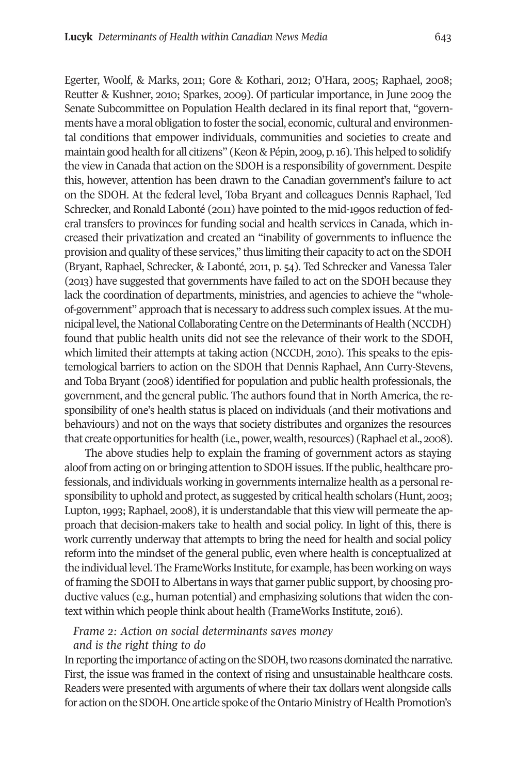Egerter, Woolf, & Marks, 2011; Gore & Kothari, 2012; O'Hara, 2005; Raphael, 2008; Reutter & Kushner, 2010; Sparkes, 2009). Of particular importance, in June 2009 the Senate Subcommittee on Population Health declared in its final report that, "governments have a moral obligation to foster the social, economic, cultural and environmental conditions that empower individuals, communities and societies to create and maintain good health for all citizens" (Keon & Pépin, 2009, p. 16). This helped to solidify the view in Canada that action on the SDOH is a responsibility of government. Despite this, however, attention has been drawn to the Canadian government's failure to act on the SDOH. At the federal level, Toba Bryant and colleagues Dennis Raphael, Ted Schrecker, and Ronald Labonté (2011) have pointed to the mid-1990s reduction of federal transfers to provinces for funding social and health services in Canada, which increased their privatization and created an "inability of governments to influence the provision and quality of these services," thus limiting their capacity to act on the SDOH (Bryant, Raphael, Schrecker, & Labonté, 2011, p. 54). Ted Schrecker and Vanessa Taler (2013) have suggested that governments have failed to act on the SDOH because they lack the coordination of departments, ministries, and agencies to achieve the "wholeof-government" approach thatis necessary to address such complex issues.Atthe municipal level, the National Collaborating Centre on the Determinants of Health (NCCDH) found that public health units did not see the relevance of their work to the SDOH, which limited their attempts at taking action (NCCDH, 2010). This speaks to the epistemological barriers to action on the SDOH that Dennis Raphael, Ann Curry-Stevens, and Toba Bryant (2008) identified for population and public health professionals, the government, and the general public. The authors found that in North America, the responsibility of one's health status is placed on individuals (and their motivations and behaviours) and not on the ways that society distributes and organizes the resources that create opportunities for health (i.e., power, wealth, resources) (Raphael et al., 2008).

The above studies help to explain the framing of government actors as staying aloof from acting on or bringing attention to SDOH issues.Ifthe public, healthcare professionals, and individuals working in governments internalize health as a personalresponsibility to uphold and protect, as suggested by critical health scholars (Hunt, 2003; Lupton, 1993; Raphael, 2008), it is understandable that this view will permeate the approach that decision-makers take to health and social policy. In light of this, there is work currently underway that attempts to bring the need for health and social policy reform into the mindset of the general public, even where health is conceptualized at the individual level. The FrameWorks Institute, for example, has been working on ways of framing the SDOH to Albertans in ways that garner public support, by choosing productive values (e.g., human potential) and emphasizing solutions that widen the context within which people think about health (FrameWorks Institute, 2016).

## *Frame 2: Action on social determinants saves money*

## *and is the right thing to do*

In reporting the importance of acting on the SDOH, two reasons dominated the narrative. First, the issue was framed in the context of rising and unsustainable healthcare costs. Readers were presented with arguments of where their tax dollars went alongside calls for action on the SDOH. One article spoke of the Ontario Ministry of Health Promotion's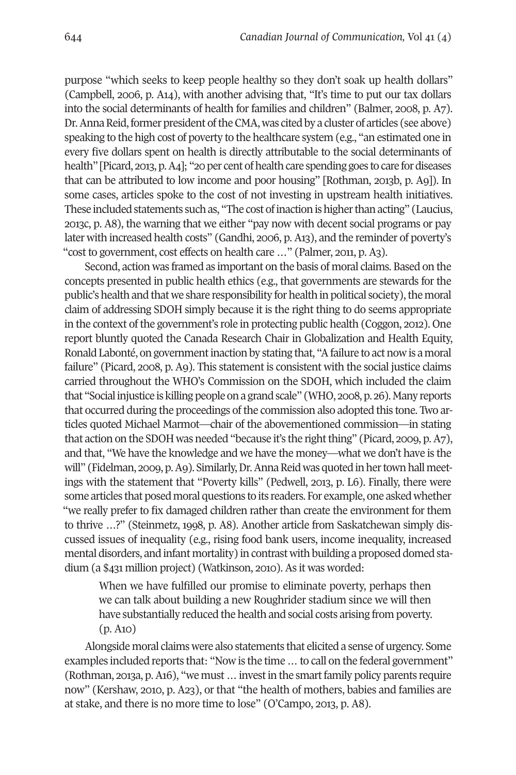purpose "which seeks to keep people healthy so they don't soak up health dollars" (Campbell, 2006, p. A14), with another advising that, "It's time to put our tax dollars into the social determinants of health for families and children" (Balmer, 2008, p. A7). Dr. Anna Reid, former president of the CMA, was cited by a cluster of articles (see above) speaking to the high cost of poverty to the healthcare system (e.g., "an estimated one in every five dollars spent on health is directly attributable to the social determinants of health" [Picard, 2013, p. A4]; "20 per cent of health care spending goes to care for diseases that can be attributed to low income and poor housing" [Rothman, 2013b, p. A9]). In some cases, articles spoke to the cost of not investing in upstream health initiatives. These included statements such as, "The cost of inaction is higher than acting" (Laucius, 2013c, p. A8), the warning that we either "pay now with decent social programs or pay later with increased health costs" (Gandhi, 2006, p. A13), and the reminder of poverty's "cost to government, cost effects on health care …" (Palmer, 2011, p. A3).

Second, action was framed as important on the basis of moral claims. Based on the concepts presented in public health ethics (e.g., that governments are stewards for the public's health and that we share responsibility for health in political society), the moral claim of addressing SDOH simply because it is the right thing to do seems appropriate in the context of the government's role in protecting public health (Coggon, 2012). One report bluntly quoted the Canada Research Chair in Globalization and Health Equity, Ronald Labonté, on government inaction by stating that, "A failure to act now is a moral failure" (Picard, 2008, p. A9). This statement is consistent with the social justice claims carried throughout the WHO's Commission on the SDOH, which included the claim that "Social injustice is killing people on a grand scale" (WHO, 2008, p. 26). Many reports that occurred during the proceedings ofthe commission also adopted this tone. Two articles quoted Michael Marmot—chair of the abovementioned commission—in stating that action on the SDOH was needed "because it's the rightthing" (Picard, 2009, p.A7), and that, "We have the knowledge and we have the money—what we don't have is the will" (Fidelman, 2009, p. A9). Similarly, Dr. Anna Reid was quoted in her town hall meetings with the statement that "Poverty kills" (Pedwell, 2013, p. L6). Finally, there were some articles that posed moral questions to its readers. For example, one askedwhether "we really prefer to fix damaged children rather than create the environment for them to thrive …?" (Steinmetz, 1998, p. A8). Another article from Saskatchewan simply discussed issues of inequality (e.g., rising food bank users, income inequality, increased mental disorders, and infant mortality) in contrast with building a proposed domed stadium (a \$431 million project) (Watkinson, 2010). As it was worded:

When we have fulfilled our promise to eliminate poverty, perhaps then we can talk about building a new Roughrider stadium since we will then have substantially reduced the health and social costs arising from poverty. (p. A10)

Alongside moral claims were also statements that elicited a sense of urgency. Some examples included reports that: "Now is the time ... to call on the federal government" (Rothman, 2013a, p. A16), "we must ... invest in the smart family policy parents require now" (Kershaw, 2010, p. A23), or that "the health of mothers, babies and families are at stake, and there is no more time to lose" (O'Campo, 2013, p. A8).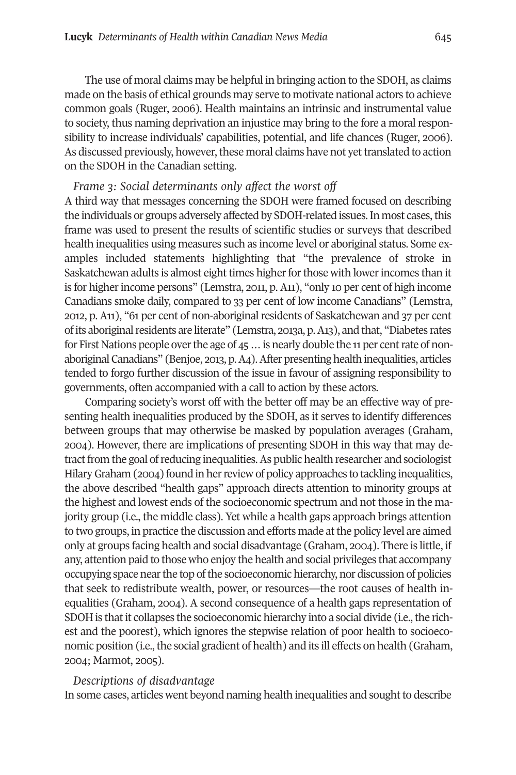The use of moral claims may be helpful in bringing action to the SDOH, as claims made on the basis of ethical grounds may serve to motivate national actors to achieve common goals (Ruger, 2006). Health maintains an intrinsic and instrumental value to society, thus naming deprivation an injustice may bring to the fore a moral responsibility to increase individuals' capabilities, potential, and life chances (Ruger, 2006). As discussed previously, however, these moral claims have not yet translated to action on the SDOH in the Canadian setting.

#### *Frame 3: Social determinants only affect the worst off*

A third way that messages concerning the SDOH were framed focused on describing the individuals or groups adversely affected by SDOH-related issues. In most cases, this frame was used to present the results of scientific studies or surveys that described health inequalities using measures such as income level or aboriginal status. Some examples included statements highlighting that "the prevalence of stroke in Saskatchewan adults is almost eight times higher for those with lower incomes than it is for higher income persons" (Lemstra, 2011, p. A11), "only 10 per cent of high income Canadians smoke daily, compared to 33 per cent of low income Canadians" (Lemstra, 2012, p. A11), "61 per cent of non-aboriginal residents of Saskatchewan and 37 per cent ofits aboriginalresidents are literate" (Lemstra, 2013a, p.A13), and that, "Diabetes rates for First Nations people over the age of  $45...$  is nearly double the 11 per cent rate of nonaboriginal Canadians" (Benjoe, 2013, p. A4). After presenting health inequalities, articles tended to forgo further discussion of the issue in favour of assigning responsibility to governments, often accompanied with a call to action by these actors.

Comparing society's worst off with the better off may be an effective way of presenting health inequalities produced by the SDOH, as it serves to identify differences between groups that may otherwise be masked by population averages (Graham, 2004). However, there are implications of presenting SDOH in this way that may detract from the goal of reducing inequalities. As public health researcher and sociologist Hilary Graham (2004) found in her review of policy approaches to tackling inequalities, the above described "health gaps" approach directs attention to minority groups at the highest and lowest ends of the socioeconomic spectrum and not those in the majority group (i.e., the middle class). Yet while a health gaps approach brings attention to two groups, in practice the discussion and efforts made atthe policy level are aimed only at groups facing health and social disadvantage (Graham, 2004). There is little, if any, attention paid to those who enjoy the health and social privileges that accompany occupying space nearthe top ofthe socioeconomic hierarchy, nor discussion of policies that seek to redistribute wealth, power, or resources—the root causes of health inequalities (Graham, 2004). A second consequence of a health gaps representation of SDOH is that it collapses the socioeconomic hierarchy into a social divide (i.e., the richest and the poorest), which ignores the stepwise relation of poor health to socioeconomic position (i.e., the social gradient of health) and its ill effects on health (Graham, 2004; Marmot, 2005).

#### *Descriptions of disadvantage*

In some cases, articles went beyond naming health inequalities and sought to describe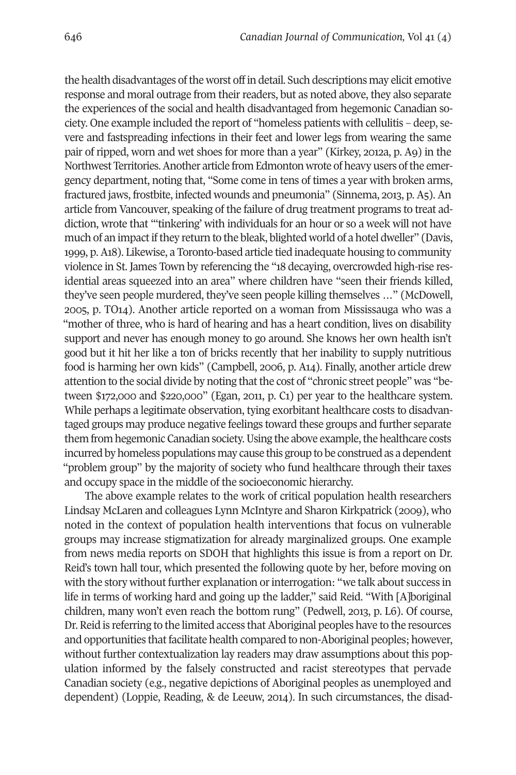the health disadvantages ofthe worst offin detail. Such descriptions may elicit emotive response and moral outrage from their readers, but as noted above, they also separate the experiences of the social and health disadvantaged from hegemonic Canadian society. One example included the report of "homeless patients with cellulitis – deep, severe and fastspreading infections in their feet and lower legs from wearing the same pair of ripped, worn and wet shoes for more than a year" (Kirkey, 2012a, p. A9) in the Northwest Territories.Another article from Edmonton wrote of heavy users ofthe emergency department, noting that, "Some come in tens of times a year with broken arms, fractured jaws, frostbite, infected wounds and pneumonia" (Sinnema, 2013, p. A5). An article from Vancouver, speaking of the failure of drug treatment programs to treat addiction, wrote that "'tinkering' with individuals for an hour or so a week will not have much of an impactifthey return to the bleak, blighted world of a hotel dweller" (Davis, 1999, p. A18). Likewise, a Toronto-based article tied inadequate housing to community violence in St. James Town by referencing the "18 decaying, overcrowded high-rise residential areas squeezed into an area" where children have "seen their friends killed, they've seen people murdered, they've seen people killing themselves …" (McDowell, 2005, p. TO14). Another article reported on a woman from Mississauga who was a "mother of three, who is hard of hearing and has a heart condition, lives on disability support and never has enough money to go around. She knows her own health isn't good but it hit her like a ton of bricks recently that her inability to supply nutritious food is harming her own kids" (Campbell, 2006, p. A14). Finally, another article drew attention to the social divide by noting that the cost of "chronic street people" was "between \$172,000 and \$220,000" (Egan, 2011, p. C1) per year to the healthcare system. While perhaps a legitimate observation, tying exorbitant healthcare costs to disadvantaged groups may produce negative feelings toward these groups and further separate them from hegemonic Canadian society. Using the above example, the healthcare costs incurred by homeless populations may cause this group to be construed as a dependent "problem group" by the majority of society who fund healthcare through their taxes and occupy space in the middle of the socioeconomic hierarchy.

The above example relates to the work of critical population health researchers Lindsay McLaren and colleagues Lynn McIntyre and Sharon Kirkpatrick (2009), who noted in the context of population health interventions that focus on vulnerable groups may increase stigmatization for already marginalized groups. One example from news media reports on SDOH that highlights this issue is from a report on Dr. Reid's town hall tour, which presented the following quote by her, before moving on with the story without further explanation or interrogation: "we talk about success in life in terms of working hard and going up the ladder," said Reid. "With [A]boriginal children, many won't even reach the bottom rung" (Pedwell, 2013, p. L6). Of course, Dr. Reid is referring to the limited access that Aboriginal peoples have to the resources and opportunities that facilitate health compared to non-Aboriginal peoples; however, without further contextualization lay readers may draw assumptions about this population informed by the falsely constructed and racist stereotypes that pervade Canadian society (e.g., negative depictions of Aboriginal peoples as unemployed and dependent) (Loppie, Reading, & de Leeuw, 2014). In such circumstances, the disad-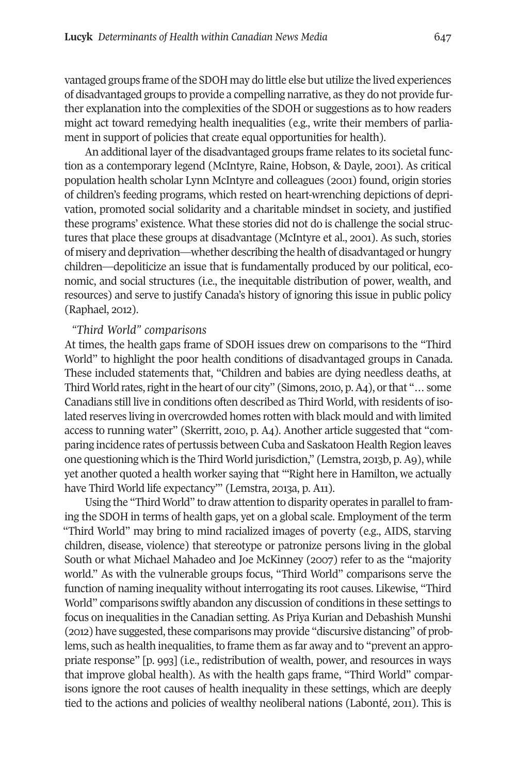vantaged groups frame of the SDOH may do little else but utilize the lived experiences of disadvantaged groups to provide a compelling narrative, as they do not provide further explanation into the complexities of the SDOH or suggestions as to how readers might act toward remedying health inequalities (e.g., write their members of parliament in support of policies that create equal opportunities for health).

An additional layer of the disadvantaged groups frame relates to its societal function as a contemporary legend (McIntyre, Raine, Hobson, & Dayle, 2001). As critical population health scholar Lynn McIntyre and colleagues (2001) found, origin stories of children's feeding programs, which rested on heart-wrenching depictions of deprivation, promoted social solidarity and a charitable mindset in society, and justified these programs' existence. What these stories did not do is challenge the social structures that place these groups at disadvantage (McIntyre et al., 2001). As such, stories of misery and deprivation—whether describing the health of disadvantaged or hungry children—depoliticize an issue that is fundamentally produced by our political, economic, and social structures (i.e., the inequitable distribution of power, wealth, and resources) and serve to justify Canada's history of ignoring this issue in public policy (Raphael, 2012).

#### *"Third World" comparisons*

At times, the health gaps frame of SDOH issues drew on comparisons to the "Third World" to highlight the poor health conditions of disadvantaged groups in Canada. These included statements that, "Children and babies are dying needless deaths, at Third World rates, right in the heart of our city" (Simons, 2010, p.  $A_4$ ), or that "... some Canadians still live in conditions often described as Third World, with residents of isolated reserves living in overcrowded homes rotten with black mould and with limited access to running water" (Skerritt, 2010, p. A4). Another article suggested that "comparing incidence rates of pertussis between Cuba and Saskatoon Health Region leaves one questioning which is the Third World jurisdiction," (Lemstra, 2013b, p.A9), while yet another quoted a health worker saying that "'Right here in Hamilton, we actually have Third World life expectancy'" (Lemstra, 2013a, p. A11).

Using the "Third World" to draw attention to disparity operates in parallel to framing the SDOH in terms of health gaps, yet on a global scale. Employment of the term "Third World" may bring to mind racialized images of poverty (e.g., AIDS, starving children, disease, violence) that stereotype or patronize persons living in the global South or what Michael Mahadeo and Joe McKinney (2007) refer to as the "majority world." As with the vulnerable groups focus, "Third World" comparisons serve the function of naming inequality without interrogating its root causes. Likewise, "Third World" comparisons swiftly abandon any discussion of conditions in these settings to focus on inequalities in the Canadian setting. As Priya Kurian and Debashish Munshi (2012) have suggested, these comparisons may provide "discursive distancing" of problems, such as health inequalities, to frame them as far away and to "prevent an appropriate response" [p. 993] (i.e., redistribution of wealth, power, and resources in ways that improve global health). As with the health gaps frame, "Third World" comparisons ignore the root causes of health inequality in these settings, which are deeply tied to the actions and policies of wealthy neoliberal nations (Labonté, 2011). This is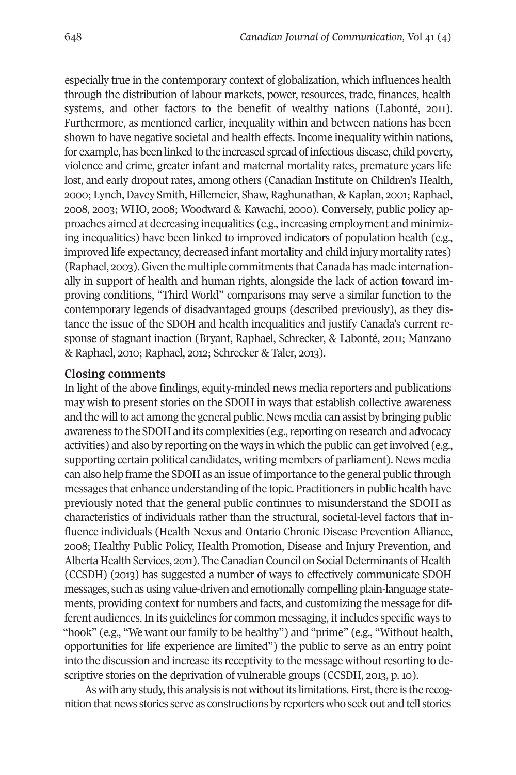especially true in the contemporary context of globalization, which influences health through the distribution of labour markets, power, resources, trade, finances, health systems, and other factors to the benefit of wealthy nations (Labonté, 2011). Furthermore, as mentioned earlier, inequality within and between nations has been shown to have negative societal and health effects. Income inequality within nations, for example, has been linked to the increased spread ofinfectious disease, child poverty, violence and crime, greater infant and maternal mortality rates, premature years life lost, and early dropout rates, among others (Canadian Institute on Children's Health, 2000; Lynch, Davey Smith, Hillemeier, Shaw, Raghunathan, & Kaplan, 2001; Raphael, 2008, 2003; WHO, 2008; Woodward & Kawachi, 2000). Conversely, public policy approaches aimed at decreasing inequalities (e.g., increasing employment and minimizing inequalities) have been linked to improved indicators of population health (e.g., improved life expectancy, decreased infant mortality and child injury mortality rates) (Raphael, 2003).Given the multiple commitments that Canada has made internationally in support of health and human rights, alongside the lack of action toward improving conditions, "Third World" comparisons may serve a similar function to the contemporary legends of disadvantaged groups (described previously), as they distance the issue of the SDOH and health inequalities and justify Canada's current response of stagnant inaction (Bryant, Raphael, Schrecker, & Labonté, 2011; Manzano & Raphael, 2010; Raphael, 2012; Schrecker & Taler, 2013).

## **Closing comments**

In light of the above findings, equity-minded news media reporters and publications may wish to present stories on the SDOH in ways that establish collective awareness and the will to act among the general public. News media can assist by bringing public awareness to the SDOH and its complexities (e.g., reporting on research and advocacy activities) and also by reporting on the ways in which the public can getinvolved (e.g., supporting certain political candidates, writing members of parliament). News media can also help frame the SDOH as an issue of importance to the general public through messages that enhance understanding of the topic. Practitioners in public health have previously noted that the general public continues to misunderstand the SDOH as characteristics of individuals rather than the structural, societal-level factors that influence individuals (Health Nexus and Ontario Chronic Disease Prevention Alliance, 2008; Healthy Public Policy, Health Promotion, Disease and Injury Prevention, and Alberta Health Services, 2011). The Canadian Council on SocialDeterminants of Health (CCSDH) (2013) has suggested a number of ways to effectively communicate SDOH messages, such as using value-driven and emotionally compelling plain-language statements, providing context for numbers and facts, and customizing the message for different audiences. In its guidelines for common messaging, it includes specific ways to "hook" (e.g., "We want our family to be healthy") and "prime" (e.g., "Without health, opportunities for life experience are limited") the public to serve as an entry point into the discussion and increase its receptivity to the message without resorting to descriptive stories on the deprivation of vulnerable groups (CCSDH, 2013, p. 10).

As with any study, this analysis is not without its limitations. First, there is the recognition that news stories serve as constructions by reporters who seek out and tell stories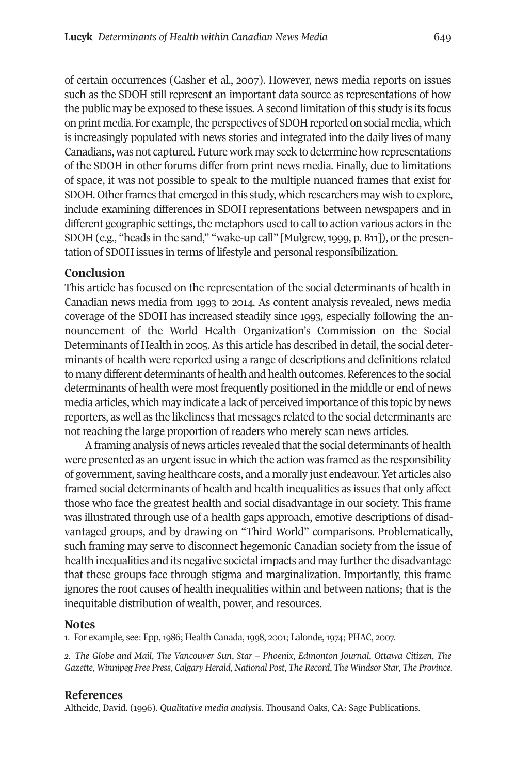of certain occurrences (Gasher et al., 2007). However, news media reports on issues such as the SDOH still represent an important data source as representations of how the public may be exposed to these issues. A second limitation of this study is its focus on print media. For example, the perspectives of SDOH reported on social media, which is increasingly populated with news stories and integrated into the daily lives of many Canadians, was not captured. Future work may seek to determine how representations of the SDOH in other forums differ from print news media. Finally, due to limitations of space, it was not possible to speak to the multiple nuanced frames that exist for SDOH. Other frames that emerged in this study, which researchers may wish to explore, include examining differences in SDOH representations between newspapers and in different geographic settings, the metaphors used to call to action various actors in the SDOH (e.g., "heads in the sand," "wake-up call" [Mulgrew, 1999, p. B11]), or the presentation of SDOH issues in terms of lifestyle and personal responsibilization.

## **Conclusion**

This article has focused on the representation of the social determinants of health in Canadian news media from 1993 to 2014. As content analysis revealed, news media coverage of the SDOH has increased steadily since 1993, especially following the announcement of the World Health Organization's Commission on the Social Determinants of Health in 2005. As this article has described in detail, the social determinants of health were reported using a range of descriptions and definitions related to many different determinants of health and health outcomes. References to the social determinants of health were most frequently positioned in the middle or end of news media articles, which may indicate a lack of perceived importance ofthis topic by news reporters, as well as the likeliness that messages related to the social determinants are not reaching the large proportion of readers who merely scan news articles.

A framing analysis of news articles revealed that the social determinants of health were presented as an urgent issue in which the action was framed as the responsibility of government, saving healthcare costs, and a morally just endeavour. Yet articles also framed social determinants of health and health inequalities as issues that only affect those who face the greatest health and social disadvantage in our society. This frame was illustrated through use of a health gaps approach, emotive descriptions of disadvantaged groups, and by drawing on "Third World" comparisons. Problematically, such framing may serve to disconnect hegemonic Canadian society from the issue of health inequalities and its negative societal impacts and may further the disadvantage that these groups face through stigma and marginalization. Importantly, this frame ignores the root causes of health inequalities within and between nations; that is the inequitable distribution of wealth, power, and resources.

## **Notes**

1. For example, see: Epp, 1986; Health Canada, 1998, 2001; Lalonde, 1974; PHAC, 2007.

*2. The Globe and Mail*, *The Vancouver Sun*, *Star – Phoenix*, *Edmonton Journal*, *Ottawa Citizen*, *The Gazette*, *Winnipeg Free Press*, *Calgary Herald*, *National Post*, *The Record*, *The Windsor Star*, *The Province*.

## **References**

Altheide, David. (1996). *Qualitative media analysis*. Thousand Oaks, CA: Sage Publications.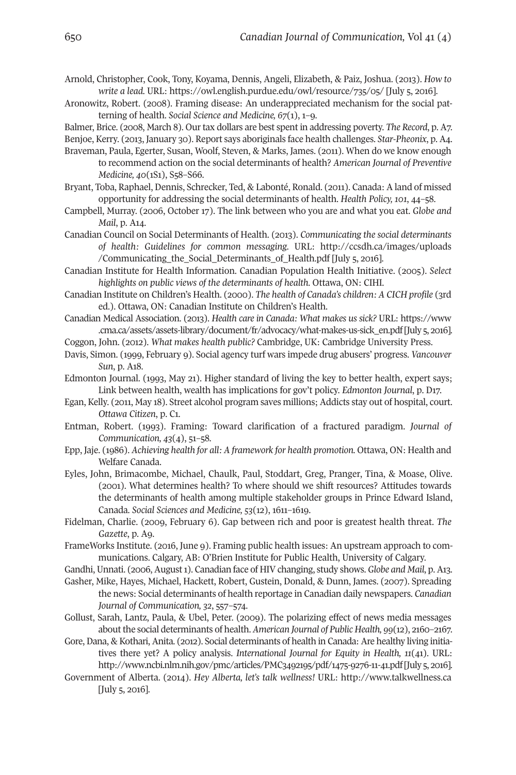- Arnold, Christopher, Cook, Tony, Koyama, Dennis, Angeli, Elizabeth, & Paiz, Joshua. (2013). *How to write a lead.* URL: [https://owl.english.purdue.edu/owl/resource/735/05/](https://owl.english.purdue.edu/owl/resource/735/05) [July 5, 2016].
- Aronowitz, Robert. (2008). Framing disease: An underappreciated mechanism for the social patterning of health. *Social Science and Medicine, 67*(1), 1–9.

Balmer, Brice. (2008, March 8). Our tax dollars are best spent in addressing poverty. *The Record*, p. A7.

Benjoe, Kerry. (2013, January 30). Report says aboriginals face health challenges. *Star-Pheonix*, p. A4.

- Braveman, Paula, Egerter, Susan, Woolf, Steven, & Marks, James. (2011). When do we know enough to recommend action on the social determinants of health? *American Journal of Preventive Medicine, 40*(1S1), S58–S66.
- Bryant, Toba, Raphael, Dennis, Schrecker, Ted, & Labonté, Ronald. (2011). Canada: A land of missed opportunity for addressing the social determinants of health. *Health Policy, 101*, 44–58.
- Campbell, Murray. (2006, October 17). The link between who you are and what you eat. *Globe and Mail*, p. A14.
- Canadian Council on Social Determinants of Health. (2013). *Communicating the social determinants of health: Guidelines for common messaging.* URL: [http://ccsdh.ca/images/uploads](http://ccsdh.ca/images/uploads/Communicating_the_Social_Determinants_of_Health.pdf) [/Communicating\\_the\\_Social\\_Determinants\\_of\\_Health.pdf](http://ccsdh.ca/images/uploads/Communicating_the_Social_Determinants_of_Health.pdf) [July 5, 2016].
- Canadian Institute for Health Information. Canadian Population Health Initiative. (2005). *Select highlights on public views of the determinants of health.* Ottawa, ON: CIHI.
- Canadian Institute on Children's Health. (2000). *The health of Canada's children: A CICH profile* (3rd ed.). Ottawa, ON: Canadian Institute on Children's Health.
- Canadian Medical Association. (2013). *Health care in Canada: What makes us sick?* URL: [https://www](https://www.cma.ca/assets/assets-library/document/fr/advocacy/what-makes-us-sick_en.pdf) [.cma.ca/assets/assets-library/document/fr/advocacy/what-makes-us-sick\\_en.pdf](https://www.cma.ca/assets/assets-library/document/fr/advocacy/what-makes-us-sick_en.pdf)[July 5, 2016].
- Coggon, John. (2012). *What makes health public?* Cambridge, UK: Cambridge University Press.
- Davis, Simon. (1999, February 9). Social agency turf wars impede drug abusers' progress. *Vancouver Sun*, p. A18.
- Edmonton Journal. (1993, May 21). Higher standard of living the key to better health, expert says; Link between health, wealth has implications for gov't policy. *Edmonton Journal*, p. D17.
- Egan, Kelly. (2011, May 18). Street alcohol program saves millions; Addicts stay out of hospital, court. *Ottawa Citizen*, p. C1.
- Entman, Robert. (1993). Framing: Toward clarification of a fractured paradigm. *Journal of Communication, 43*(4), 51–58.
- Epp, Jaje. (1986). *Achieving health for all: A framework for health promotion.* Ottawa, ON: Health and Welfare Canada.
- Eyles, John, Brimacombe, Michael, Chaulk, Paul, Stoddart, Greg, Pranger, Tina, & Moase, Olive. (2001). What determines health? To where should we shift resources? Attitudes towards the determinants of health among multiple stakeholder groups in Prince Edward Island, Canada. *Social Sciences and Medicine, 53*(12), 1611–1619.
- Fidelman, Charlie. (2009, February 6). Gap between rich and poor is greatest health threat. *The Gazette*, p. A9.
- FrameWorks Institute. (2016, June 9). Framing public health issues: An upstream approach to communications. Calgary, AB: O'Brien Institute for Public Health, University of Calgary.
- Gandhi,Unnati. (2006,August1). Canadian face of HIV changing, study shows. *Globe and Mail*, p.A13.
- Gasher, Mike, Hayes, Michael, Hackett, Robert, Gustein, Donald, & Dunn, James. (2007). Spreading the news: Social determinants of health reportage in Canadian daily newspapers. *Canadian Journal of Communication, 32*, 557–574.
- Gollust, Sarah, Lantz, Paula, & Ubel, Peter. (2009). The polarizing effect of news media messages aboutthe social determinants of health. *American Journal of Public Health, 99*(12), 2160–2167.
- Gore, Dana, & Kothari, Anita. (2012). Social determinants of health in Canada: Are healthy living initiatives there yet? A policy analysis. *International Journal for Equity in Health, 11*(41). URL: <http://www.ncbi.nlm.nih.gov/pmc/articles/PMC3492195/pdf/1475-9276-11-41.pdf>[July 5, 2016].
- Government of Alberta. (2014). *Hey Alberta, let's talk wellness!* URL: <http://www.talkwellness.ca> [July 5, 2016].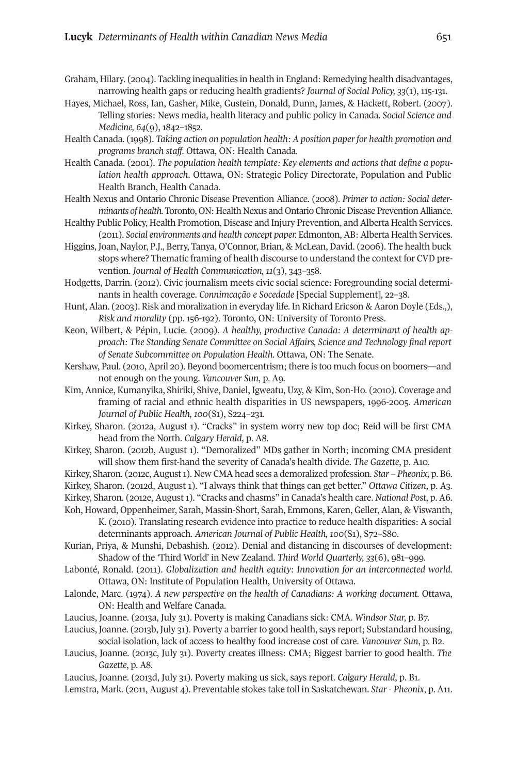- Graham, Hilary. (2004). Tackling inequalities in health in England: Remedying health disadvantages, narrowing health gaps or reducing health gradients? *Journal of Social Policy, 33*(1), 115-131.
- Hayes, Michael, Ross, Ian, Gasher, Mike, Gustein, Donald, Dunn, James, & Hackett, Robert. (2007). Telling stories: News media, health literacy and public policy in Canada. *Social Science and Medicine, 64*(9), 1842–1852.
- Health Canada. (1998). *Taking action on population health: A position paperfor health promotion and programs branch staff*. Ottawa, ON: Health Canada.
- Health Canada. (2001). *The population health template: Key elements and actions that define a population health approach*. Ottawa, ON: Strategic Policy Directorate, Population and Public Health Branch, Health Canada.
- Health Nexus and Ontario Chronic Disease Prevention Alliance. (2008). *Primer to action: Social determinants* of *health.* Toronto, ON: Health Nexus and Ontario Chronic Disease Prevention Alliance.
- Healthy Public Policy, Health Promotion, Disease and Injury Prevention, and Alberta Health Services. (2011). *Social environments and health concept paper.* Edmonton, AB: Alberta Health Services.
- Higgins, Joan, Naylor, P.J., Berry, Tanya, O'Connor, Brian, & McLean, David. (2006). The health buck stops where? Thematic framing of health discourse to understand the context for CVD prevention. *Journal of Health Communication, 11*(3), 343–358.
- Hodgetts, Darrin. (2012). Civic journalism meets civic social science: Foregrounding social determinants in health coverage. *Connimcação e Socedade* [Special Supplement], 22–38.
- Hunt, Alan. (2003). Risk and moralization in everyday life. In Richard Ericson & Aaron Doyle (Eds.,), *Risk and morality* (pp. 156-192). Toronto, ON: University of Toronto Press.
- Keon, Wilbert, & Pépin, Lucie. (2009). *A healthy, productive Canada: A determinant of health approach: The Standing Senate Committee on Social Affairs, Science and Technology final report of Senate Subcommittee on Population Health.* Ottawa, ON: The Senate.
- Kershaw, Paul. (2010, April 20). Beyond boomercentrism; there is too much focus on boomers—and not enough on the young. *Vancouver Sun*, p. A9.
- Kim, Annice, Kumanyika, Shiriki, Shive, Daniel, Igweatu, Uzy, & Kim, Son-Ho. (2010). Coverage and framing of racial and ethnic health disparities in US newspapers, 1996-2005. *American Journal of Public Health, 100*(S1), S224–231.
- Kirkey, Sharon. (2012a, August 1). "Cracks" in system worry new top doc; Reid will be first CMA head from the North. *Calgary Herald*, p. A8.
- Kirkey, Sharon. (2012b, August 1). "Demoralized" MDs gather in North; incoming CMA president will show them first-hand the severity of Canada's health divide. *The Gazette*, p. A10.
- Kirkey, Sharon. (2012c, August1). New CMA head sees a demoralized profession. *Star – Pheonix*, p. B6. Kirkey, Sharon. (2012d, August 1). "I always think that things can get better." *Ottawa Citizen*, p. A3.
- Kirkey, Sharon. (2012e, August1). "Cracks and chasms" in Canada's health care. *National Post*, p. A6.
- Koh, Howard, Oppenheimer, Sarah, Massin-Short, Sarah, Emmons, Karen, Geller, Alan, & Viswanth, K. (2010). Translating research evidence into practice to reduce health disparities: A social

determinants approach. *American Journal of Public Health, 100*(S1), S72–S80.

- Kurian, Priya, & Munshi, Debashish. (2012). Denial and distancing in discourses of development: Shadow of the 'Third World' in New Zealand. *Third World Quarterly, 33*(6), 981–999.
- Labonté, Ronald. (2011). *Globalization and health equity: Innovation for an interconnected world.* Ottawa, ON: Institute of Population Health, University of Ottawa.
- Lalonde, Marc. (1974). *A new perspective on the health of Canadians: A working document.* Ottawa, ON: Health and Welfare Canada.
- Laucius, Joanne. (2013a, July 31). Poverty is making Canadians sick: CMA. *Windsor Star,* p. B7.
- Laucius, Joanne. (2013b, July 31). Poverty a barrier to good health, says report; Substandard housing, social isolation, lack of access to healthy food increase cost of care. *Vancouver Sun*, p. B2.
- Laucius, Joanne. (2013c, July 31). Poverty creates illness: CMA; Biggest barrier to good health. *The Gazette*, p. A8.
- Laucius, Joanne. (2013d, July 31). Poverty making us sick, says report. *Calgary Herald*, p. B1.

Lemstra, Mark. (2011, August 4). Preventable stokes take toll in Saskatchewan. *Star - Pheonix*, p. A11.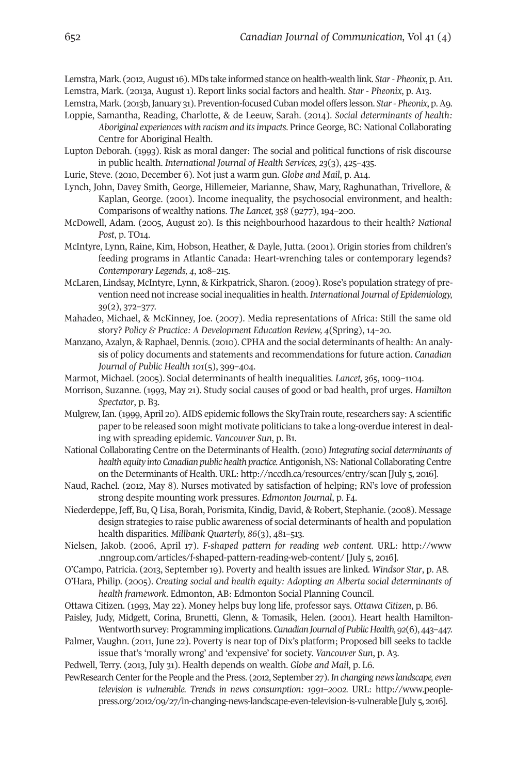Lemstra, Mark. (2012,August16). MDs take informed stance on health-wealth link. *Star- Pheonix*, p.A11. Lemstra, Mark. (2013a, August 1). Report links social factors and health. *Star - Pheonix*, p. A13.

Lemstra, Mark. (2013b,January 31). Prevention-focused Cuban model offers lesson. *Star- Pheonix*, p.A9.

- Loppie, Samantha, Reading, Charlotte, & de Leeuw, Sarah. (2014). *Social determinants of health: Aboriginal experiences with racism and itsimpacts*. Prince George, BC: National Collaborating Centre for Aboriginal Health.
- Lupton Deborah. (1993). Risk as moral danger: The social and political functions of risk discourse in public health. *International Journal of Health Services, 23*(3), 425–435.
- Lurie, Steve. (2010, December 6). Not just a warm gun. *Globe and Mail*, p. A14.
- Lynch, John, Davey Smith, George, Hillemeier, Marianne, Shaw, Mary, Raghunathan, Trivellore, & Kaplan, George. (2001). Income inequality, the psychosocial environment, and health: Comparisons of wealthy nations. *The Lancet, 358* (9277), 194–200.
- McDowell, Adam. (2005, August 20). Is this neighbourhood hazardous to their health? *National Post*, p. TO14.
- McIntyre, Lynn, Raine, Kim, Hobson, Heather, & Dayle, Jutta. (2001). Origin stories from children's feeding programs in Atlantic Canada: Heart-wrenching tales or contemporary legends? *Contemporary Legends, 4*, 108–215.
- McLaren, Lindsay, McIntyre, Lynn, & Kirkpatrick, Sharon. (2009). Rose's population strategy of prevention need not increase social inequalities in health. *International Journal of Epidemiology, 39*(2), 372–377.
- Mahadeo, Michael, & McKinney, Joe. (2007). Media representations of Africa: Still the same old story? *Policy & Practice: A Development Education Review, 4*(Spring), 14–20.
- Manzano, Azalyn, & Raphael, Dennis. (2010). CPHA and the social determinants of health: An analysis of policy documents and statements and recommendations for future action. *Canadian Journal of Public Health 101*(5), 399–404.
- Marmot, Michael. (2005). Social determinants of health inequalities. *Lancet, 365*, 1009–1104.
- Morrison, Suzanne. (1993, May 21). Study social causes of good or bad health, prof urges. *Hamilton Spectator*, p. B3.
- Mulgrew, Ian. (1999, April 20). AIDS epidemic follows the SkyTrain route, researchers say: A scientific paperto be released soon might motivate politicians to take a long-overdue interest in dealing with spreading epidemic. *Vancouver Sun*, p. B1.
- National Collaborating Centre on the Determinants of Health. (2010) *Integrating social determinants of health equity into Canadian public health practice.*Antigonish, NS: NationalCollaboratingCentre on the Determinants of Health. URL: <http://nccdh.ca/resources/entry/scan> [July 5, 2016].
- Naud, Rachel. (2012, May 8). Nurses motivated by satisfaction of helping; RN's love of profession strong despite mounting work pressures. *Edmonton Journal*, p. F4.
- Niederdeppe, Jeff, Bu, Q Lisa, Borah, Porismita, Kindig, David, & Robert, Stephanie. (2008). Message design strategies to raise public awareness of social determinants of health and population health disparities. *Millbank Quarterly, 86*(3), 481–513.
- Nielsen, Jakob. (2006, April 17). *F-shaped pattern for reading web content.* URL: [http://www](http://www.nngroup.com/articles/f-shaped-pattern-reading-web-content/) [.nngroup.com/articles/f-shaped-pattern-reading-web-content/](http://www.nngroup.com/articles/f-shaped-pattern-reading-web-content/) [July 5, 2016].
- O'Campo, Patricia. (2013, September 19). Poverty and health issues are linked. *Windsor Star*, p. A8.
- O'Hara, Philip. (2005). *Creating social and health equity: Adopting an Alberta social determinants of health framework*. Edmonton, AB: Edmonton Social Planning Council.
- Ottawa Citizen. (1993, May 22). Money helps buy long life, professor says. *Ottawa Citizen*, p. B6.
- Paisley, Judy, Midgett, Corina, Brunetti, Glenn, & Tomasik, Helen. (2001). Heart health Hamilton-Wentworthsurvey:Programming implications.*CanadianJournal ofPublicHealth, 92*(6), 443–447.
- Palmer, Vaughn. (2011, June 22). Poverty is near top of Dix's platform; Proposed bill seeks to tackle issue that's 'morally wrong' and 'expensive' for society. *Vancouver Sun*, p. A3.
- Pedwell, Terry. (2013, July 31). Health depends on wealth. *Globe and Mail*, p. L6.
- PewResearch Centerforthe People and the Press. (2012, September 27).*In changing newslandscape, even television is vulnerable. Trends in news consumption: 1991–2002.* URL: [http://www.people](http://www.people-press.org/2012/09/27/in-changing-news-landscape-even-television-is-vulnerable)[press.org/2012/09/27/in-changing-news-landscape-even-television-is-vulnerable](http://www.people-press.org/2012/09/27/in-changing-news-landscape-even-television-is-vulnerable) [July 5, 2016].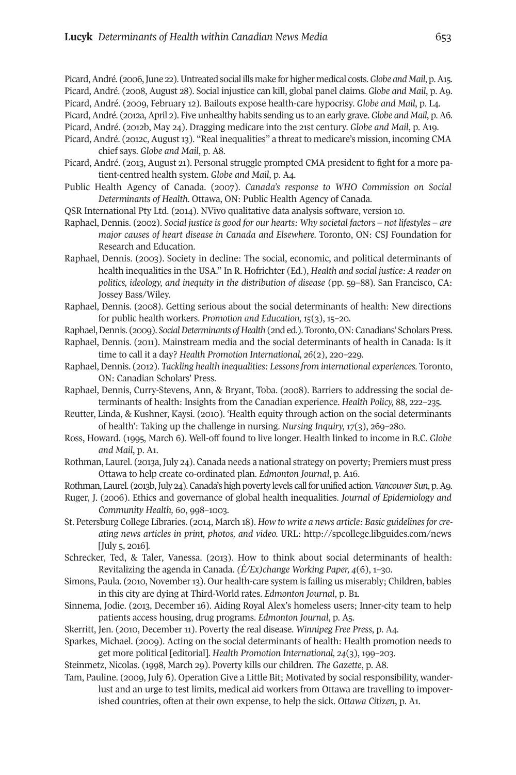Picard,André. (2006,June 22).Untreated social ills make for higher medical costs.*Globe and Mail*, p.A15. Picard, André. (2008, August 28). Social injustice can kill, global panel claims. *Globe and Mail*, p. A9. Picard, André. (2009, February 12). Bailouts expose health-care hypocrisy. *Globe and Mail*, p. L4.

Picard, André. (2012a, April 2). Five unhealthy habits sending us to an early grave. *Globe and Mail*, p. A6. Picard, André. (2012b, May 24). Dragging medicare into the 21st century. *Globe and Mail*, p. A19.

- Picard, André. (2012c, August13). "Real inequalities" a threat to medicare's mission, incoming CMA chief says. *Globe and Mail*, p. A8.
- Picard, André. (2013, August 21). Personal struggle prompted CMA president to fight for a more patient-centred health system. *Globe and Mail*, p. A4.
- Public Health Agency of Canada. (2007). *Canada's response to WHO Commission on Social Determinants of Health.* Ottawa, ON: Public Health Agency of Canada.

QSR International Pty Ltd. (2014). NVivo qualitative data analysis software, version 10.

- Raphael, Dennis. (2002). *Social justice is good for our hearts: Why societal factors – not lifestyles – are major causes of heart disease in Canada and Elsewhere.* Toronto, ON: CSJ Foundation for Research and Education.
- Raphael, Dennis. (2003). Society in decline: The social, economic, and political determinants of health inequalities in the USA." In R. Hofrichter (Ed.), *Health and social justice: A reader on politics, ideology, and inequity in the distribution of disease* (pp. 59–88)*.* San Francisco, CA: Jossey Bass/Wiley.
- Raphael, Dennis. (2008). Getting serious about the social determinants of health: New directions for public health workers. *Promotion and Education, 15*(3), 15–20.
- Raphael, Dennis. (2009). *Social Determinants of Health* (2nd ed.). Toronto, ON: Canadians' Scholars Press.
- Raphael, Dennis. (2011). Mainstream media and the social determinants of health in Canada: Is it time to call it a day? *Health Promotion International, 26*(2), 220–229.
- Raphael, Dennis. (2012). *Tackling health inequalities: Lessonsfrom international experiences.* Toronto, ON: Canadian Scholars' Press.
- Raphael, Dennis, Curry-Stevens, Ann, & Bryant, Toba. (2008). Barriers to addressing the social determinants of health: Insights from the Canadian experience. *Health Policy,* 88, 222–235.
- Reutter, Linda, & Kushner, Kaysi. (2010). 'Health equity through action on the social determinants of health': Taking up the challenge in nursing. *Nursing Inquiry, 17*(3), 269–280.
- Ross, Howard. (1995, March 6). Well-off found to live longer. Health linked to income in B.C. *Globe and Mail*, p. A1.
- Rothman, Laurel. (2013a, July 24). Canada needs a national strategy on poverty; Premiers must press Ottawa to help create co-ordinated plan. *Edmonton Journal*, p. A16.
- Rothman, Laurel. (2013b, July 24). Canada's high poverty levels call for unified action. *Vancouver Sun*, p. A9.
- Ruger, J. (2006). Ethics and governance of global health inequalities. *Journal of Epidemiology and Community Health, 60*, 998–1003.
- St. Petersburg College Libraries. (2014, March 18). *How to write a news article: Basic guidelinesfor creating news articles in print, photos, and video.* URL: <http://spcollege.libguides.com/news> [July 5, 2016].
- Schrecker, Ted, & Taler, Vanessa. (2013). How to think about social determinants of health: Revitalizing the agenda in Canada. *(É/Ex)change Working Paper, 4*(6), 1–30.
- Simons, Paula. (2010, November 13). Our health-care system is failing us miserably; Children, babies in this city are dying at Third-World rates. *Edmonton Journal*, p. B1.
- Sinnema, Jodie. (2013, December 16). Aiding Royal Alex's homeless users; Inner-city team to help patients access housing, drug programs. *Edmonton Journal*, p. A5.
- Skerritt, Jen. (2010, December 11). Poverty the real disease. *Winnipeg Free Press*, p. A4.
- Sparkes, Michael. (2009). Acting on the social determinants of health: Health promotion needs to get more political [editorial]. *Health Promotion International, 24*(3), 199–203.

Steinmetz, Nicolas. (1998, March 29). Poverty kills our children. *The Gazette*, p. A8.

Tam, Pauline. (2009, July 6). Operation Give a Little Bit; Motivated by social responsibility, wanderlust and an urge to test limits, medical aid workers from Ottawa are travelling to impoverished countries, often at their own expense, to help the sick. *Ottawa Citizen*, p. A1.